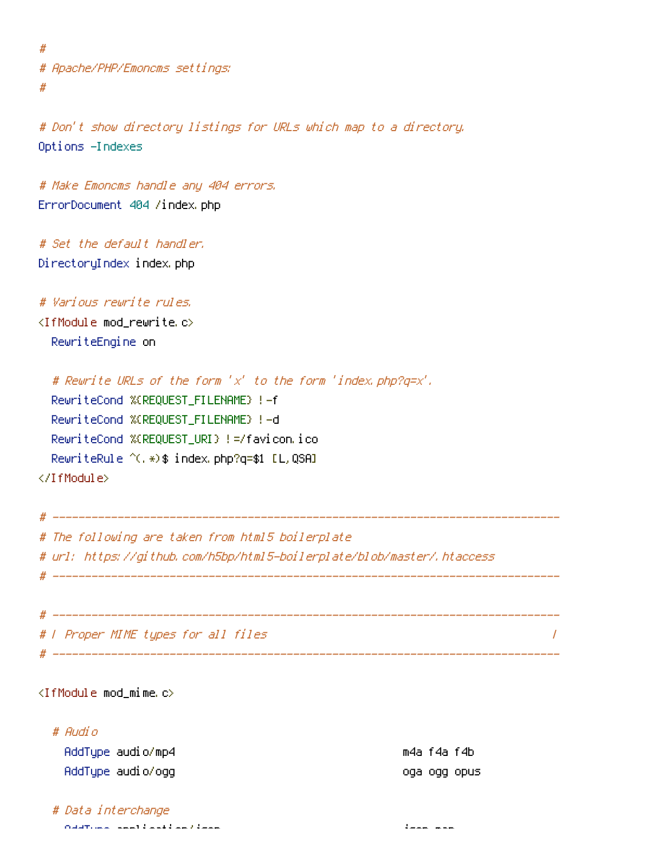# # Apache/PHP/Emoncms settings: #

# Don't show directory listings for URLs which map to <sup>a</sup> directory. Options -Indexes

```
# Make Emoncms handle any 404 errors.
ErrorDocument 404 /index.php
```
# Set the default handler. DirectoryIndex index.php

# Various rewrite rules. <IfModule mod\_rewrite.c> RewriteEngine on

```
# Rewrite URLs of the form 'x' to the form 'index.php?q=x'.
  RewriteCond %{REQUEST_FILENAME} !-f
  RewriteCond %{REQUEST_FILENAME} !-d
  RewriteCond %{REQUEST_URI} !=/favicon.ico
 RewriteRule ^(.*)$ index.php?q=$1 [L,QSA]
</IfModule>
```

| # The following are taken from html5 boilerplate                       |  |
|------------------------------------------------------------------------|--|
| # url: https://github.com/h5bp/html5-boilerplate/blob/master/.htaccess |  |
|                                                                        |  |
|                                                                        |  |
|                                                                        |  |
| #   Proper MIME types for all files                                    |  |
|                                                                        |  |

# ------------------------------------------------------------------------------

<IfModule mod\_mime.c>

#### # Audio

| AddTupe audio/mp4 | m4a f4a f4b  |
|-------------------|--------------|
| AddType audio/ogg | oga ogg opus |

# Data interchange

AddType application/json json map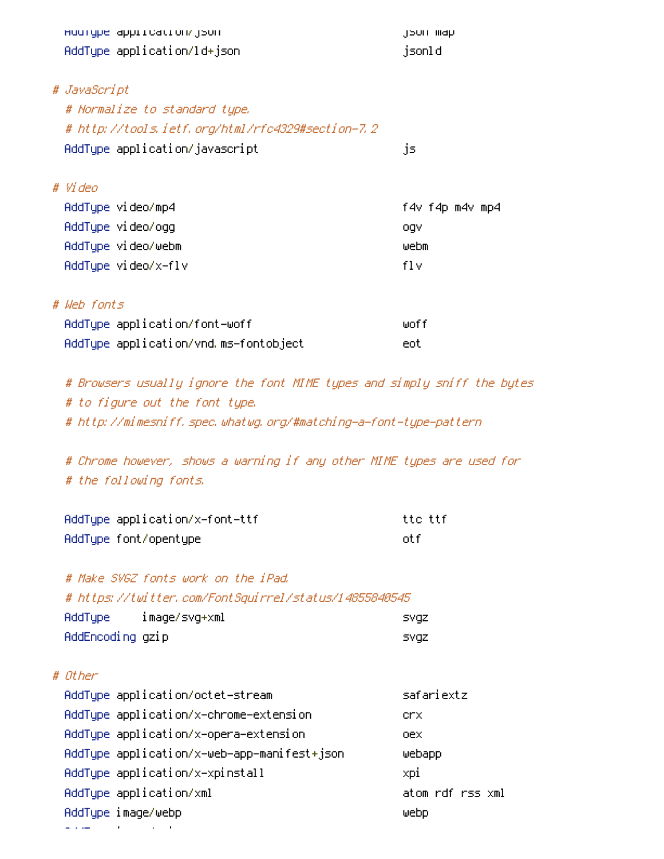| HOOTYPe application/json                         | json map        |
|--------------------------------------------------|-----------------|
| AddType application/ld+json                      | jsonld          |
| # JavaScript                                     |                 |
| # Normalize to standard type.                    |                 |
| # http://tools.ietf.org/html/rfc4329#section-7.2 |                 |
| AddType application/javascript                   | js.             |
| # Video                                          |                 |
| AddType video/mp4                                | f4v f4p m4v mp4 |
| AddType video/ogg                                | ogv             |
| AddType video/webm                               | <b>Mehm</b>     |
| AddType video/x-flv                              | flv             |
| # Web fonts                                      |                 |
| AddType application/font-woff                    | ⊎off            |
| AddType application/vnd ms-fontobject            | eot             |

# Browsers usually ignore the font MIME types and simply sniff the bytes # to figure out the font type. # http://mimesniff.spec.whatwg.org/#matching-a-font-type-pattern

# Chrome however, shows <sup>a</sup> warning if any other MIME types are used for # the following fonts.

| AddType application/x-font-ttf | tte ttf |  |
|--------------------------------|---------|--|
| AddType font/opentype          | int fi  |  |

# # Make SVGZ fonts work on the iPad.

# https://twitter.com/FontSquirrel/status/14855840545

| AddTupe          | image/svg+xml | svaz        |
|------------------|---------------|-------------|
| AddEncoding gzip |               | <b>SVQZ</b> |

### # Other

| AddType application/octet-stream            | safariextz       |
|---------------------------------------------|------------------|
| AddType application/x-chrome-extension      | crx.             |
| AddType application/x-opera-extension       | oex              |
| AddType application/x-web-app-manifest+json | webapp           |
| AddType application/x-xpinstall             | xpi              |
| AddType application/xml                     | atom rdf rss xml |
| AddType image/webp                          | webp             |
| $\sim 100$                                  |                  |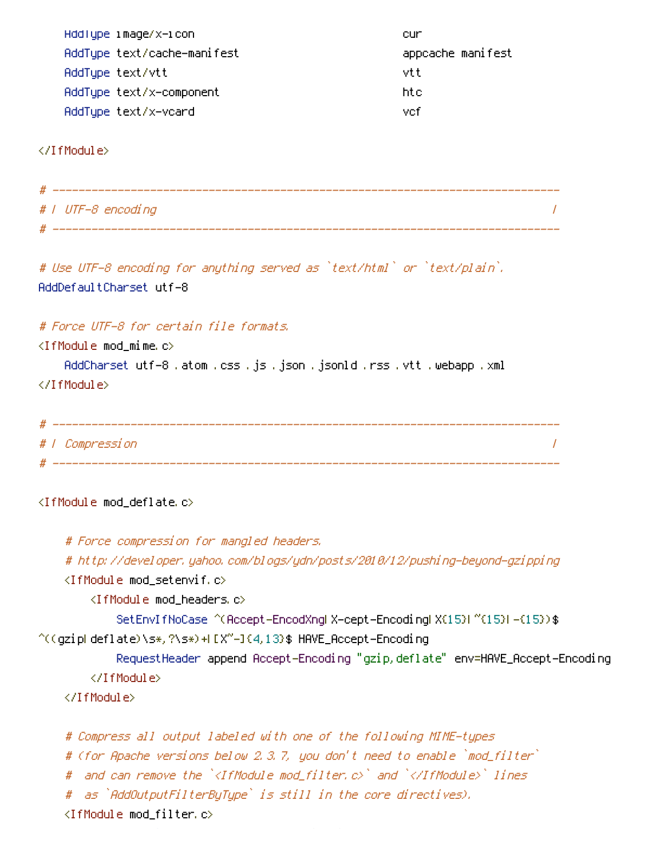| HddType image/x-icon        | cur               |
|-----------------------------|-------------------|
| AddType text/cache-manifest | appcache manifest |
| AddTupe text/vtt            | vt ti             |
| AddType text/x-component    | htc.              |
| AddType text/x-vcard        | vef               |

</IfModule>

| #   UTF-8 encoding |  |
|--------------------|--|
|                    |  |

```
# Use UTF-8 encoding for anything served as `text/html` or `text/plain`.
AddDefaultCharset utf-8
```
#### # Force UTF-8 for certain file formats.

<IfModule mod\_mime.c>

AddCharset utf-8 .atom .css .js .json .jsonld .rss .vtt .webapp .xml </IfModule>

```
# ------------------------------------------------------------------------------
# | Compression |
# ------------------------------------------------------------------------------
```
<IfModule mod\_deflate.c>

```
# Force compression for mangled headers.
    # http://developer.yahoo.com/blogs/ydn/posts/2010/12/pushing-beyond-gzipping
    <IfModule mod_setenvif.c>
        <IfModule mod_headers.c>
            SetEnvIfNoCase ^(Accept-EncodXng|X-cept-Encoding|X{15}|~{15}|-{15})$
\hat{C}((gzipLdeflate)\s*,?\s*)+L[X~-]{4,13}$ HAVE_Accept-Encoding
            RequestHeader append Accept-Encoding "gzip,deflate" env=HAVE_Accept-Encoding
        </IfModule>
    </IfModule>
    # Compress all output labeled with one of the following MIME-types
    # (for Apache versions below 2.3.7, you don't need to enable `mod_filter`
    # and can remove the `<IfModule mod_filter.c>` and `</IfModule>` lines
    # as `AddOutputFilterByType` is still in the core directives).
    <IfModule mod_filter.c>
```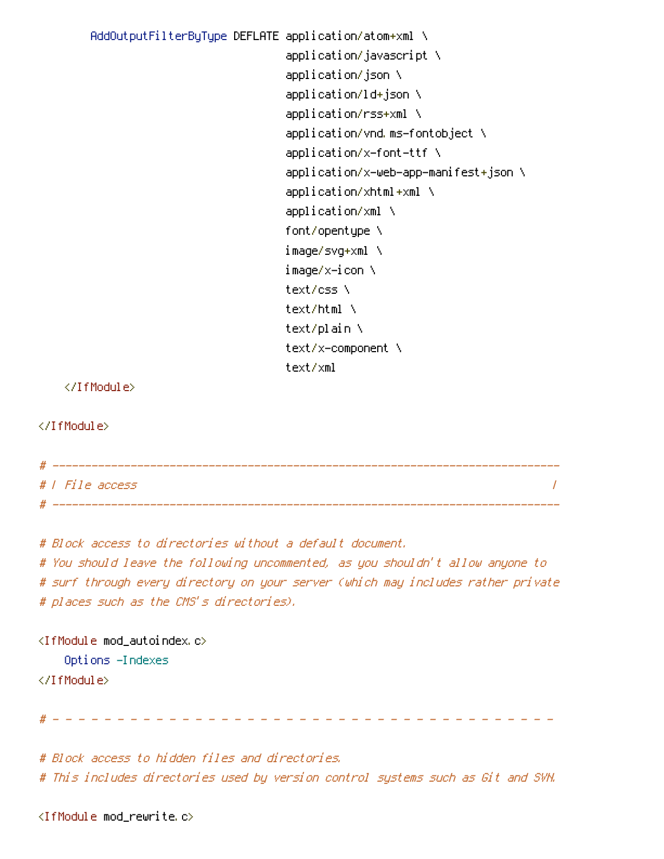```
AddOutputFilterByType DEFLATE application/atom+xml \
                                  application/javascript \
                                  application/json \
                                  application/ld+json \
                                  application/rss+xml \
                                  application/vnd.ms-fontobject \
                                  application/x-font-ttf \
                                  application/x-web-app-manifest+json \
                                  application/xhtml+xml \
                                  application/xml \
                                  font/opentype \
                                  image/svg+xml \
                                  image/x-icon \
                                  text/css \
                                  text/html \
                                  text/plain \
                                  text/x-component \
                                  text/xml
</IfModule>
```
</IfModule>

| # |                 |  |
|---|-----------------|--|
|   | #   File access |  |
|   |                 |  |

# Block access to directories without <sup>a</sup> default document.

# You should leave the following uncommented, as you shouldn't allow anyone to # surf through every directory on your server (which may includes rather private # places such as the CMS's directories).

<IfModule mod\_autoindex.c> Options -Indexes </IfModule>

# - - - - - - - - - - - - - - - - - - - - - - - - - - - - - - - - - - - - - - -

# Block access to hidden files and directories. # This includes directories used by version control systems such as Git and SVN.